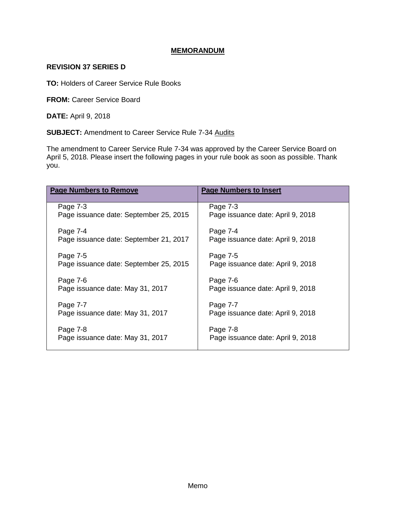# **MEMORANDUM**

# **REVISION 37 SERIES D**

**TO:** Holders of Career Service Rule Books

**FROM:** Career Service Board

**DATE:** April 9, 2018

**SUBJECT:** Amendment to Career Service Rule 7-34 Audits

The amendment to Career Service Rule 7-34 was approved by the Career Service Board on April 5, 2018. Please insert the following pages in your rule book as soon as possible. Thank you.

| <b>Page Numbers to Remove</b>          | <b>Page Numbers to Insert</b>     |
|----------------------------------------|-----------------------------------|
| Page 7-3                               | Page 7-3                          |
| Page issuance date: September 25, 2015 | Page issuance date: April 9, 2018 |
| Page 7-4                               | Page 7-4                          |
| Page issuance date: September 21, 2017 | Page issuance date: April 9, 2018 |
| Page 7-5                               | Page 7-5                          |
| Page issuance date: September 25, 2015 | Page issuance date: April 9, 2018 |
| Page 7-6                               | Page 7-6                          |
| Page issuance date: May 31, 2017       | Page issuance date: April 9, 2018 |
| Page 7-7                               | Page 7-7                          |
| Page issuance date: May 31, 2017       | Page issuance date: April 9, 2018 |
|                                        |                                   |
| Page 7-8                               | Page 7-8                          |
| Page issuance date: May 31, 2017       | Page issuance date: April 9, 2018 |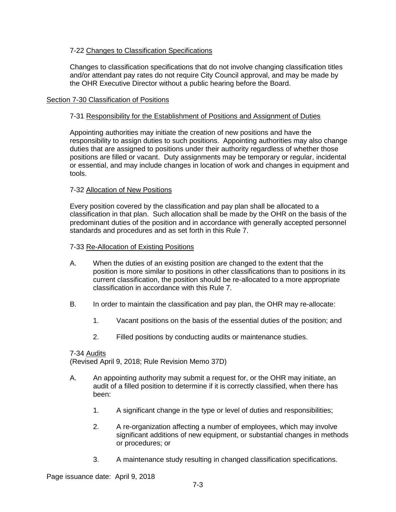# 7-22 Changes to Classification Specifications

Changes to classification specifications that do not involve changing classification titles and/or attendant pay rates do not require City Council approval, and may be made by the OHR Executive Director without a public hearing before the Board.

## Section 7-30 Classification of Positions

## 7-31 Responsibility for the Establishment of Positions and Assignment of Duties

Appointing authorities may initiate the creation of new positions and have the responsibility to assign duties to such positions. Appointing authorities may also change duties that are assigned to positions under their authority regardless of whether those positions are filled or vacant. Duty assignments may be temporary or regular, incidental or essential, and may include changes in location of work and changes in equipment and tools.

## 7-32 Allocation of New Positions

Every position covered by the classification and pay plan shall be allocated to a classification in that plan. Such allocation shall be made by the OHR on the basis of the predominant duties of the position and in accordance with generally accepted personnel standards and procedures and as set forth in this Rule 7.

## 7-33 Re-Allocation of Existing Positions

- A. When the duties of an existing position are changed to the extent that the position is more similar to positions in other classifications than to positions in its current classification, the position should be re-allocated to a more appropriate classification in accordance with this Rule 7.
- B. In order to maintain the classification and pay plan, the OHR may re-allocate:
	- 1. Vacant positions on the basis of the essential duties of the position; and
	- 2. Filled positions by conducting audits or maintenance studies.

#### 7-34 Audits

(Revised April 9, 2018; Rule Revision Memo 37D)

- A. An appointing authority may submit a request for, or the OHR may initiate, an audit of a filled position to determine if it is correctly classified, when there has been:
	- 1. A significant change in the type or level of duties and responsibilities;
	- 2. A re-organization affecting a number of employees, which may involve significant additions of new equipment, or substantial changes in methods or procedures; or
	- 3. A maintenance study resulting in changed classification specifications.

Page issuance date: April 9, 2018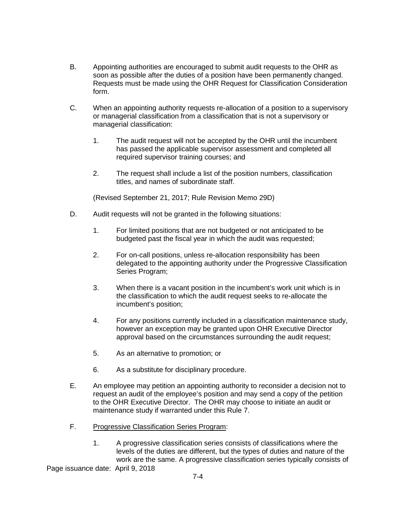- B. Appointing authorities are encouraged to submit audit requests to the OHR as soon as possible after the duties of a position have been permanently changed. Requests must be made using the OHR Request for Classification Consideration form.
- C. When an appointing authority requests re-allocation of a position to a supervisory or managerial classification from a classification that is not a supervisory or managerial classification:
	- 1. The audit request will not be accepted by the OHR until the incumbent has passed the applicable supervisor assessment and completed all required supervisor training courses; and
	- 2. The request shall include a list of the position numbers, classification titles, and names of subordinate staff.

(Revised September 21, 2017; Rule Revision Memo 29D)

- D. Audit requests will not be granted in the following situations:
	- 1. For limited positions that are not budgeted or not anticipated to be budgeted past the fiscal year in which the audit was requested;
	- 2. For on-call positions, unless re-allocation responsibility has been delegated to the appointing authority under the Progressive Classification Series Program;
	- 3. When there is a vacant position in the incumbent's work unit which is in the classification to which the audit request seeks to re-allocate the incumbent's position;
	- 4. For any positions currently included in a classification maintenance study, however an exception may be granted upon OHR Executive Director approval based on the circumstances surrounding the audit request;
	- 5. As an alternative to promotion; or
	- 6. As a substitute for disciplinary procedure.
- E. An employee may petition an appointing authority to reconsider a decision not to request an audit of the employee's position and may send a copy of the petition to the OHR Executive Director. The OHR may choose to initiate an audit or maintenance study if warranted under this Rule 7.
- F. Progressive Classification Series Program:
	- 1. A progressive classification series consists of classifications where the levels of the duties are different, but the types of duties and nature of the work are the same. A progressive classification series typically consists of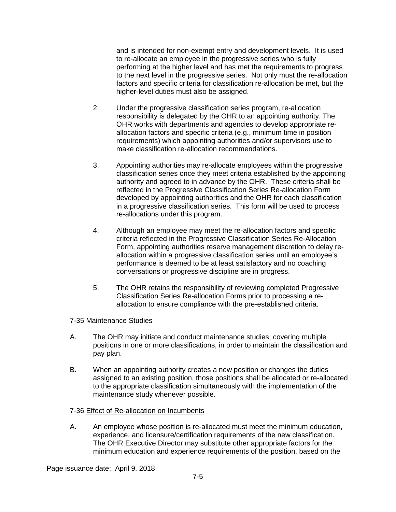and is intended for non-exempt entry and development levels. It is used to re-allocate an employee in the progressive series who is fully performing at the higher level and has met the requirements to progress to the next level in the progressive series. Not only must the re-allocation factors and specific criteria for classification re-allocation be met, but the higher-level duties must also be assigned.

- 2. Under the progressive classification series program, re-allocation responsibility is delegated by the OHR to an appointing authority. The OHR works with departments and agencies to develop appropriate reallocation factors and specific criteria (e.g., minimum time in position requirements) which appointing authorities and/or supervisors use to make classification re-allocation recommendations.
- 3. Appointing authorities may re-allocate employees within the progressive classification series once they meet criteria established by the appointing authority and agreed to in advance by the OHR. These criteria shall be reflected in the Progressive Classification Series Re-allocation Form developed by appointing authorities and the OHR for each classification in a progressive classification series. This form will be used to process re-allocations under this program.
- 4. Although an employee may meet the re-allocation factors and specific criteria reflected in the Progressive Classification Series Re-Allocation Form, appointing authorities reserve management discretion to delay reallocation within a progressive classification series until an employee's performance is deemed to be at least satisfactory and no coaching conversations or progressive discipline are in progress.
- 5. The OHR retains the responsibility of reviewing completed Progressive Classification Series Re-allocation Forms prior to processing a reallocation to ensure compliance with the pre-established criteria.

#### 7-35 Maintenance Studies

- A. The OHR may initiate and conduct maintenance studies, covering multiple positions in one or more classifications, in order to maintain the classification and pay plan.
- B. When an appointing authority creates a new position or changes the duties assigned to an existing position, those positions shall be allocated or re-allocated to the appropriate classification simultaneously with the implementation of the maintenance study whenever possible.

#### 7-36 Effect of Re-allocation on Incumbents

A. An employee whose position is re-allocated must meet the minimum education, experience, and licensure/certification requirements of the new classification. The OHR Executive Director may substitute other appropriate factors for the minimum education and experience requirements of the position, based on the

Page issuance date: April 9, 2018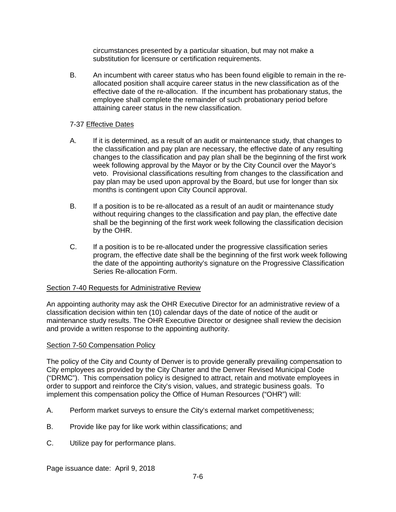circumstances presented by a particular situation, but may not make a substitution for licensure or certification requirements.

B. An incumbent with career status who has been found eligible to remain in the reallocated position shall acquire career status in the new classification as of the effective date of the re-allocation. If the incumbent has probationary status, the employee shall complete the remainder of such probationary period before attaining career status in the new classification.

# 7-37 Effective Dates

- A. If it is determined, as a result of an audit or maintenance study, that changes to the classification and pay plan are necessary, the effective date of any resulting changes to the classification and pay plan shall be the beginning of the first work week following approval by the Mayor or by the City Council over the Mayor's veto. Provisional classifications resulting from changes to the classification and pay plan may be used upon approval by the Board, but use for longer than six months is contingent upon City Council approval.
- B. If a position is to be re-allocated as a result of an audit or maintenance study without requiring changes to the classification and pay plan, the effective date shall be the beginning of the first work week following the classification decision by the OHR.
- C. If a position is to be re-allocated under the progressive classification series program, the effective date shall be the beginning of the first work week following the date of the appointing authority's signature on the Progressive Classification Series Re-allocation Form.

# Section 7-40 Requests for Administrative Review

An appointing authority may ask the OHR Executive Director for an administrative review of a classification decision within ten (10) calendar days of the date of notice of the audit or maintenance study results. The OHR Executive Director or designee shall review the decision and provide a written response to the appointing authority.

# Section 7-50 Compensation Policy

The policy of the City and County of Denver is to provide generally prevailing compensation to City employees as provided by the City Charter and the Denver Revised Municipal Code ("DRMC"). This compensation policy is designed to attract, retain and motivate employees in order to support and reinforce the City's vision, values, and strategic business goals. To implement this compensation policy the Office of Human Resources ("OHR") will:

- A. Perform market surveys to ensure the City's external market competitiveness;
- B. Provide like pay for like work within classifications; and
- C. Utilize pay for performance plans.

Page issuance date: April 9, 2018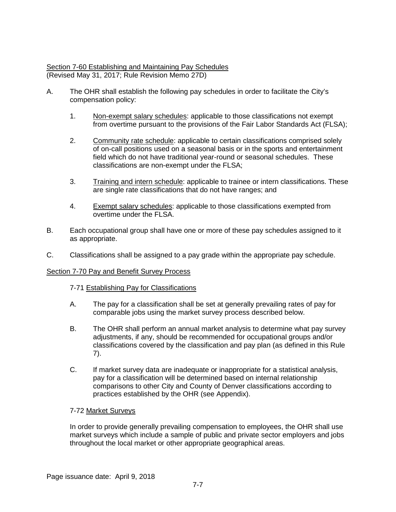# Section 7-60 Establishing and Maintaining Pay Schedules (Revised May 31, 2017; Rule Revision Memo 27D)

- A. The OHR shall establish the following pay schedules in order to facilitate the City's compensation policy:
	- 1. Non-exempt salary schedules: applicable to those classifications not exempt from overtime pursuant to the provisions of the Fair Labor Standards Act (FLSA);
	- 2. Community rate schedule: applicable to certain classifications comprised solely of on-call positions used on a seasonal basis or in the sports and entertainment field which do not have traditional year-round or seasonal schedules. These classifications are non-exempt under the FLSA;
	- 3. Training and intern schedule: applicable to trainee or intern classifications. These are single rate classifications that do not have ranges; and
	- 4. Exempt salary schedules: applicable to those classifications exempted from overtime under the FLSA.
- B. Each occupational group shall have one or more of these pay schedules assigned to it as appropriate.
- C. Classifications shall be assigned to a pay grade within the appropriate pay schedule.

# Section 7-70 Pay and Benefit Survey Process

# 7-71 Establishing Pay for Classifications

- A. The pay for a classification shall be set at generally prevailing rates of pay for comparable jobs using the market survey process described below.
- B. The OHR shall perform an annual market analysis to determine what pay survey adjustments, if any, should be recommended for occupational groups and/or classifications covered by the classification and pay plan (as defined in this Rule 7).
- C. If market survey data are inadequate or inappropriate for a statistical analysis, pay for a classification will be determined based on internal relationship comparisons to other City and County of Denver classifications according to practices established by the OHR (see Appendix).

# 7-72 Market Surveys

In order to provide generally prevailing compensation to employees, the OHR shall use market surveys which include a sample of public and private sector employers and jobs throughout the local market or other appropriate geographical areas.